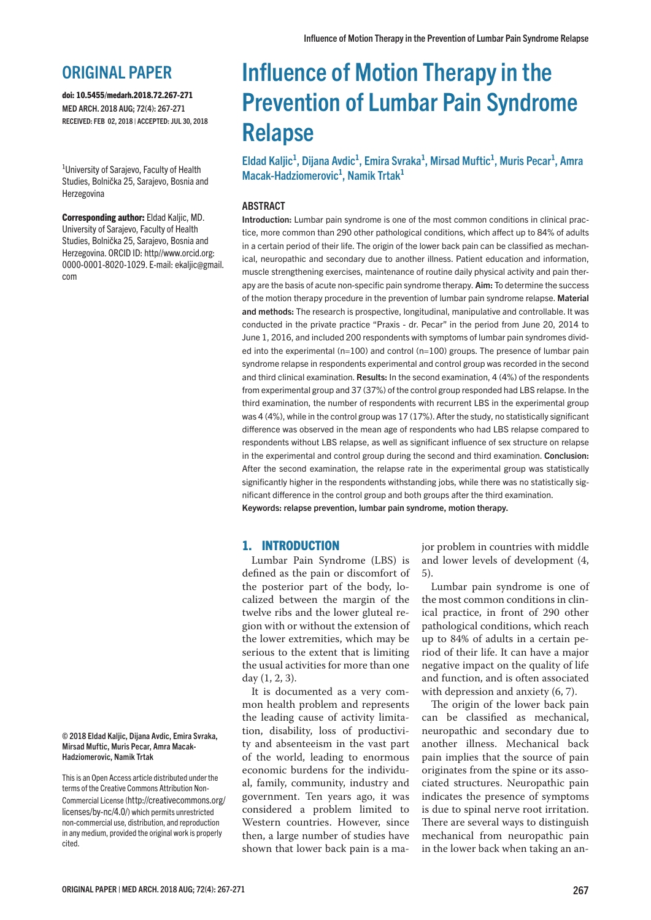# ORIGINAL PAPER

doi: 10.5455/medarh.2018.72.267-271 MED ARCH. 2018 AUG; 72(4): 267-271 RECEIVED: FEB 02, 2018 | ACCEPTED: JUL 30, 2018

<sup>1</sup>University of Sarajevo, Faculty of Health Studies, Bolnička 25, Sarajevo, Bosnia and Herzegovina

Corresponding author: Eldad Kaljic, MD. University of Sarajevo, Faculty of Health Studies, Bolnička 25, Sarajevo, Bosnia and Herzegovina. ORCID ID: http//www.orcid.org: 0000-0001-8020-1029. E-mail: ekaljic@gmail. com

# Influence of Motion Therapy in the Prevention of Lumbar Pain Syndrome Relapse

Eldad Kaljic<sup>1</sup>, Dijana Avdic<sup>1</sup>, Emira Svraka<sup>1</sup>, Mirsad Muftic<sup>1</sup>, Muris Pecar<sup>1</sup>, Amra Macak-Hadziomerovic<sup>1</sup>, Namik Trtak<sup>1</sup>

# ABSTRACT

Introduction: Lumbar pain syndrome is one of the most common conditions in clinical practice, more common than 290 other pathological conditions, which affect up to 84% of adults in a certain period of their life. The origin of the lower back pain can be classified as mechanical, neuropathic and secondary due to another illness. Patient education and information, muscle strengthening exercises, maintenance of routine daily physical activity and pain therapy are the basis of acute non-specific pain syndrome therapy. **Aim:** To determine the success of the motion therapy procedure in the prevention of lumbar pain syndrome relapse. Material and methods: The research is prospective, longitudinal, manipulative and controllable. It was conducted in the private practice "Praxis - dr. Pecar" in the period from June 20, 2014 to June 1, 2016, and included 200 respondents with symptoms of lumbar pain syndromes divided into the experimental (n=100) and control (n=100) groups. The presence of lumbar pain syndrome relapse in respondents experimental and control group was recorded in the second and third clinical examination. Results: In the second examination, 4 (4%) of the respondents from experimental group and 37 (37%) of the control group responded had LBS relapse. In the third examination, the number of respondents with recurrent LBS in the experimental group was 4 (4%), while in the control group was 17 (17%). After the study, no statistically significant difference was observed in the mean age of respondents who had LBS relapse compared to respondents without LBS relapse, as well as significant influence of sex structure on relapse in the experimental and control group during the second and third examination. Conclusion: After the second examination, the relapse rate in the experimental group was statistically significantly higher in the respondents withstanding jobs, while there was no statistically significant difference in the control group and both groups after the third examination. Keywords: relapse prevention, lumbar pain syndrome, motion therapy.

## 1. INTRODUCTION

Lumbar Pain Syndrome (LBS) is defined as the pain or discomfort of the posterior part of the body, localized between the margin of the twelve ribs and the lower gluteal region with or without the extension of the lower extremities, which may be serious to the extent that is limiting the usual activities for more than one day (1, 2, 3).

It is documented as a very common health problem and represents the leading cause of activity limitation, disability, loss of productivity and absenteeism in the vast part of the world, leading to enormous economic burdens for the individual, family, community, industry and government. Ten years ago, it was considered a problem limited to Western countries. However, since then, a large number of studies have shown that lower back pain is a major problem in countries with middle and lower levels of development (4, 5).

Lumbar pain syndrome is one of the most common conditions in clinical practice, in front of 290 other pathological conditions, which reach up to 84% of adults in a certain period of their life. It can have a major negative impact on the quality of life and function, and is often associated with depression and anxiety (6, 7).

The origin of the lower back pain can be classified as mechanical, neuropathic and secondary due to another illness. Mechanical back pain implies that the source of pain originates from the spine or its associated structures. Neuropathic pain indicates the presence of symptoms is due to spinal nerve root irritation. There are several ways to distinguish mechanical from neuropathic pain in the lower back when taking an an-

#### © 2018 Eldad Kaljic, Dijana Avdic, Emira Svraka, Mirsad Muftic, Muris Pecar, Amra Macak-Hadziomerovic, Namik Trtak

This is an Open Access article distributed under the terms of the Creative Commons Attribution Non-Commercial License (http://creativecommons.org/ licenses/by-nc/4.0/) which permits unrestricted non-commercial use, distribution, and reproduction in any medium, provided the original work is properly cited.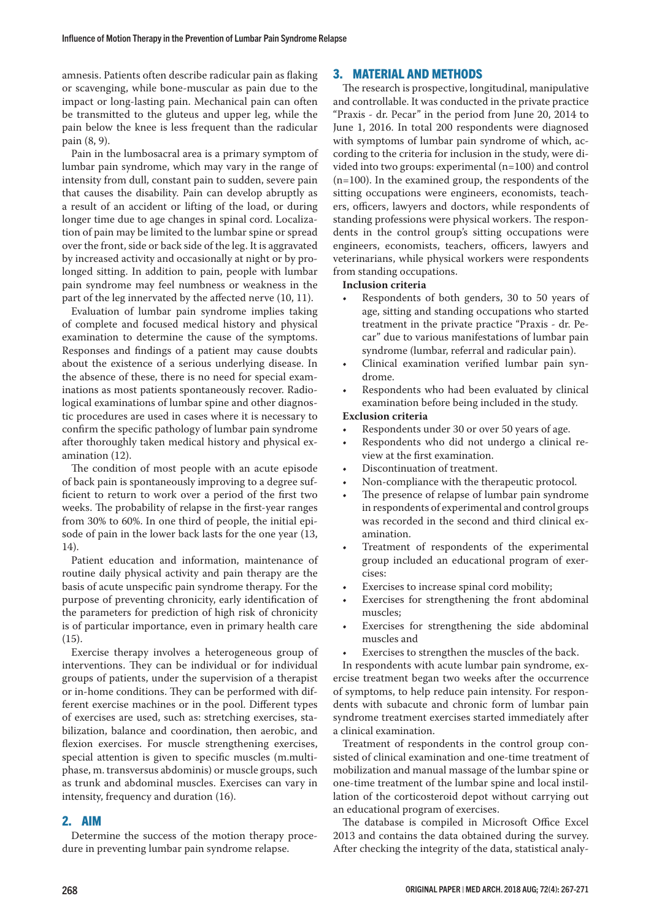amnesis. Patients often describe radicular pain as flaking or scavenging, while bone-muscular as pain due to the impact or long-lasting pain. Mechanical pain can often be transmitted to the gluteus and upper leg, while the pain below the knee is less frequent than the radicular pain (8, 9).

Pain in the lumbosacral area is a primary symptom of lumbar pain syndrome, which may vary in the range of intensity from dull, constant pain to sudden, severe pain that causes the disability. Pain can develop abruptly as a result of an accident or lifting of the load, or during longer time due to age changes in spinal cord. Localization of pain may be limited to the lumbar spine or spread over the front, side or back side of the leg. It is aggravated by increased activity and occasionally at night or by prolonged sitting. In addition to pain, people with lumbar pain syndrome may feel numbness or weakness in the part of the leg innervated by the affected nerve (10, 11).

Evaluation of lumbar pain syndrome implies taking of complete and focused medical history and physical examination to determine the cause of the symptoms. Responses and findings of a patient may cause doubts about the existence of a serious underlying disease. In the absence of these, there is no need for special examinations as most patients spontaneously recover. Radiological examinations of lumbar spine and other diagnostic procedures are used in cases where it is necessary to confirm the specific pathology of lumbar pain syndrome after thoroughly taken medical history and physical examination (12).

The condition of most people with an acute episode of back pain is spontaneously improving to a degree sufficient to return to work over a period of the first two weeks. The probability of relapse in the first-year ranges from 30% to 60%. In one third of people, the initial episode of pain in the lower back lasts for the one year (13, 14).

Patient education and information, maintenance of routine daily physical activity and pain therapy are the basis of acute unspecific pain syndrome therapy. For the purpose of preventing chronicity, early identification of the parameters for prediction of high risk of chronicity is of particular importance, even in primary health care (15).

Exercise therapy involves a heterogeneous group of interventions. They can be individual or for individual groups of patients, under the supervision of a therapist or in-home conditions. They can be performed with different exercise machines or in the pool. Different types of exercises are used, such as: stretching exercises, stabilization, balance and coordination, then aerobic, and flexion exercises. For muscle strengthening exercises, special attention is given to specific muscles (m.multiphase, m. transversus abdominis) or muscle groups, such as trunk and abdominal muscles. Exercises can vary in intensity, frequency and duration (16).

# 2. AIM

Determine the success of the motion therapy procedure in preventing lumbar pain syndrome relapse.

# 3. MATERIAL AND METHODS

The research is prospective, longitudinal, manipulative and controllable. It was conducted in the private practice "Praxis - dr. Pecar" in the period from June 20, 2014 to June 1, 2016. In total 200 respondents were diagnosed with symptoms of lumbar pain syndrome of which, according to the criteria for inclusion in the study, were divided into two groups: experimental (n=100) and control (n=100). In the examined group, the respondents of the sitting occupations were engineers, economists, teachers, officers, lawyers and doctors, while respondents of standing professions were physical workers. The respondents in the control group's sitting occupations were engineers, economists, teachers, officers, lawyers and veterinarians, while physical workers were respondents from standing occupations.

#### **Inclusion criteria**

- Respondents of both genders, 30 to 50 years of age, sitting and standing occupations who started treatment in the private practice "Praxis - dr. Pecar" due to various manifestations of lumbar pain syndrome (lumbar, referral and radicular pain).
- Clinical examination verified lumbar pain syndrome.
- Respondents who had been evaluated by clinical examination before being included in the study.

#### **Exclusion criteria**

- Respondents under 30 or over 50 years of age.
- Respondents who did not undergo a clinical review at the first examination.
- Discontinuation of treatment.
- Non-compliance with the therapeutic protocol.
- The presence of relapse of lumbar pain syndrome in respondents of experimental and control groups was recorded in the second and third clinical examination.
- Treatment of respondents of the experimental group included an educational program of exercises:
- Exercises to increase spinal cord mobility;
- Exercises for strengthening the front abdominal muscles;
- Exercises for strengthening the side abdominal muscles and
- Exercises to strengthen the muscles of the back.

In respondents with acute lumbar pain syndrome, exercise treatment began two weeks after the occurrence of symptoms, to help reduce pain intensity. For respondents with subacute and chronic form of lumbar pain syndrome treatment exercises started immediately after a clinical examination.

Treatment of respondents in the control group consisted of clinical examination and one-time treatment of mobilization and manual massage of the lumbar spine or one-time treatment of the lumbar spine and local instillation of the corticosteroid depot without carrying out an educational program of exercises.

The database is compiled in Microsoft Office Excel 2013 and contains the data obtained during the survey. After checking the integrity of the data, statistical analy-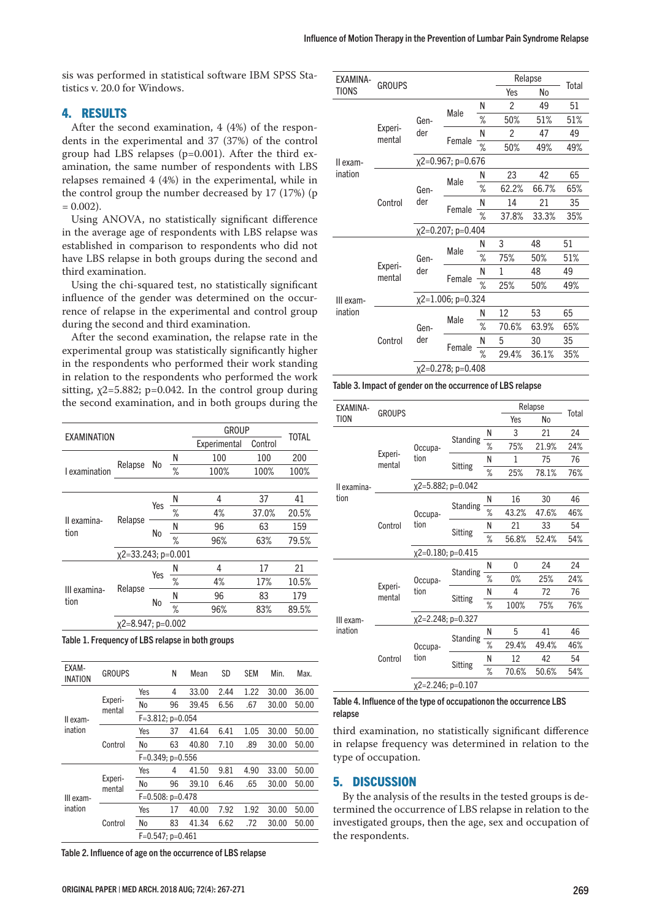sis was performed in statistical software IBM SPSS Statistics v. 20.0 for Windows.

# 4. RESULTS

After the second examination, 4 (4%) of the respondents in the experimental and 37 (37%) of the control group had LBS relapses (p=0.001). After the third examination, the same number of respondents with LBS relapses remained 4 (4%) in the experimental, while in the control group the number decreased by 17 (17%) (p  $= 0.002$ ).

Using ANOVA, no statistically significant difference in the average age of respondents with LBS relapse was established in comparison to respondents who did not have LBS relapse in both groups during the second and third examination.

Using the chi-squared test, no statistically significant influence of the gender was determined on the occurrence of relapse in the experimental and control group during the second and third examination.

After the second examination, the relapse rate in the experimental group was statistically significantly higher in the respondents who performed their work standing in relation to the respondents who performed the work sitting,  $x^2$ =5.882; p=0.042. In the control group during the second examination, and in both groups during the

| <b>EXAMINATION</b>   |                        |     |   | <b>GROUP</b> |         | <b>TOTAL</b> |  |
|----------------------|------------------------|-----|---|--------------|---------|--------------|--|
|                      |                        |     |   | Experimental | Control |              |  |
|                      |                        |     | Ν | 100          | 100     | 200          |  |
| I examination        | Relapse                | No  | ℅ | 100%         | 100%    | 100%         |  |
|                      |                        |     |   |              |         |              |  |
|                      |                        |     | Ν | 4            | 37      | 41           |  |
|                      |                        | Yes | ℅ | 4%           | 37.0%   | 20.5%        |  |
| Il examina-<br>tion  | Relapse                | No  | Ν | 96           | 63      | 159          |  |
|                      |                        |     | ℅ | 96%          | 63%     | 79.5%        |  |
|                      | $x^2=33.243$ ; p=0.001 |     |   |              |         |              |  |
|                      |                        | Yes | Ν | 4            | 17      | 21           |  |
|                      |                        |     | ℅ | 4%           | 17%     | 10.5%        |  |
| III examina-<br>tion | Relapse                |     | N | 96           | 83      | 179          |  |
|                      |                        | No  | ℅ | 96%          | 83%     | 89.5%        |  |
|                      | $x^2=8.947; p=0.002$   |     |   |              |         |              |  |

Table 1. Frequency of LBS relapse in both groups

| EXAM-<br><b>INATION</b> | <b>GROUPS</b>     |                     | Ν     | Mean  | SD   | <b>SEM</b> | Min.  | Max.  |  |  |
|-------------------------|-------------------|---------------------|-------|-------|------|------------|-------|-------|--|--|
|                         |                   | Yes                 | 4     | 33.00 | 2.44 | 1.22       | 30.00 | 36.00 |  |  |
|                         | Experi-<br>mental | No                  | 96    | 39.45 | 6.56 | .67        | 30.00 | 50.00 |  |  |
| II exam-                |                   | $F=3.812$ ; p=0.054 |       |       |      |            |       |       |  |  |
| ination                 |                   | Yes                 | 37    | 41.64 | 6.41 | 1.05       | 30.00 | 50.00 |  |  |
| Control                 | No                | 63                  | 40.80 | 7.10  | .89  | 30.00      | 50.00 |       |  |  |
|                         |                   | $F=0.349; p=0.556$  |       |       |      |            |       |       |  |  |
|                         |                   | Yes                 | 4     | 41.50 | 9.81 | 4.90       | 33.00 | 50.00 |  |  |
|                         | Experi-<br>mental | No                  | 96    | 39.10 | 6.46 | .65        | 30.00 | 50.00 |  |  |
| III exam-               |                   | $F=0.508: p=0.478$  |       |       |      |            |       |       |  |  |
| ination                 |                   | Yes                 | 17    | 40.00 | 7.92 | 1.92       | 30.00 | 50.00 |  |  |
|                         | Control           | No                  | 83    | 41.34 | 6.62 | .72        | 30.00 | 50.00 |  |  |
|                         |                   | $F=0.547; p=0.461$  |       |       |      |            |       |       |  |  |

Table 2. Influence of age on the occurrence of LBS relapse

| EXAMINA-                          |                   |                     |                   |      | Relapse      |       |                                 |  |  |  |
|-----------------------------------|-------------------|---------------------|-------------------|------|--------------|-------|---------------------------------|--|--|--|
| <b>TIONS</b>                      | <b>GROUPS</b>     |                     |                   |      | Yes          | No    |                                 |  |  |  |
|                                   |                   |                     |                   | Ν    | 2            | 49    | 51                              |  |  |  |
| II exam-                          | Experi-<br>mental | Gen-                | Male<br>Female    | ℅    | 50%          | 51%   | 51%                             |  |  |  |
|                                   |                   | der                 |                   | N    | 2            | 47    | 49                              |  |  |  |
|                                   |                   |                     |                   | $\%$ | 50%          | 49%   | 49%                             |  |  |  |
|                                   |                   | $x2=0.967; p=0.676$ |                   |      |              |       |                                 |  |  |  |
| ination                           |                   |                     |                   | Ν    | 23           | 42    | 65                              |  |  |  |
|                                   |                   | Gen-                | Male              | ℅    | 62.2%        | 66.7% | 65%                             |  |  |  |
|                                   | Control           | der                 |                   | Ν    | 14           | 21    | 35                              |  |  |  |
|                                   |                   |                     | Female<br>℅       |      | 37.8%        | 33.3% | 35%                             |  |  |  |
|                                   |                   |                     | x2=0.207; p=0.404 |      |              |       |                                 |  |  |  |
|                                   |                   |                     | Male<br>Female    | Ν    | 3            | 48    | 51                              |  |  |  |
|                                   |                   | Gen-                |                   | ℅    | 75%          | 50%   | 51%                             |  |  |  |
|                                   | Experi-<br>mental | der                 |                   | Ν    | $\mathbf{1}$ | 48    | 49                              |  |  |  |
|                                   |                   |                     |                   | ℅    | 25%          | 50%   | 49%                             |  |  |  |
| III exam-                         |                   | x2=1.006; p=0.324   |                   |      |              |       |                                 |  |  |  |
| ination<br>Gen-<br>der<br>Control |                   |                     | Male              | Ν    | 12           | 53    | Total<br>65<br>65%<br>35<br>35% |  |  |  |
|                                   |                   |                     |                   | ℅    | 70.6%        | 63.9% |                                 |  |  |  |
|                                   |                   |                     | Female            | N    | 5            | 30    |                                 |  |  |  |
|                                   |                   |                     |                   | ℅    | 29.4%        | 36.1% |                                 |  |  |  |
|                                   |                   | x2=0.278; p=0.408   |                   |      |              |       |                                 |  |  |  |

| Table 3. Impact of gender on the occurrence of LBS relapse |  |  |
|------------------------------------------------------------|--|--|
|------------------------------------------------------------|--|--|

| EXAMINA-             |                   |                        |                 |   |       | Relapse |       |
|----------------------|-------------------|------------------------|-----------------|---|-------|---------|-------|
| <b>TION</b>          | <b>GROUPS</b>     |                        |                 |   | Yes   | No      | Total |
|                      |                   |                        |                 | Ν | 3     | 21      | 24    |
|                      |                   | Occupa-<br>tion        | <b>Standing</b> | ℅ | 75%   | 21.9%   | 24%   |
|                      | Experi-<br>mental |                        | Sitting         | Ν | 1     | 75      | 76    |
| Il examina-          |                   |                        |                 | % | 25%   | 78.1%   | 76%   |
|                      |                   | x2=5.882; p=0.042      |                 |   |       |         |       |
| tion                 |                   | Occupa-<br>tion        |                 | N | 16    | 30      | 46    |
|                      |                   |                        | <b>Standing</b> | ℅ | 43.2% | 47.6%   | 46%   |
|                      | Control           |                        | <b>Sitting</b>  | Ν | 21    | 33      | 54    |
|                      |                   |                        |                 | ℅ | 56.8% | 52.4%   | 54%   |
|                      |                   | x2=0.180; p=0.415      |                 |   |       |         |       |
|                      |                   |                        |                 | Ν | 0     | 24      | 24    |
|                      |                   | Occupa-                | Standing        | ℅ | $0\%$ | 25%     | 24%   |
|                      | Experi-<br>mental | tion<br>Sitting        |                 | Ν | 4     | 72      | 76    |
| III exam-<br>ination |                   |                        |                 | ℅ | 100%  | 75%     | 76%   |
|                      |                   | $x2=2.248; p=0.327$    |                 |   |       |         |       |
|                      |                   |                        | <b>Standing</b> | Ν | 5     | 41      | 46    |
|                      |                   | Occupa-                |                 | ℅ | 29.4% | 49.4%   | 46%   |
|                      | Control           | tion                   | Sitting         | Ν | 12    | 42      | 54    |
|                      |                   |                        |                 | ℅ | 70.6% | 50.6%   | 54%   |
|                      |                   | $x^2$ = 2.246; p=0.107 |                 |   |       |         |       |

#### Table 4. Influence of the type of occupationon the occurrence LBS relapse

third examination, no statistically significant difference in relapse frequency was determined in relation to the type of occupation.

# 5. DISCUSSION

By the analysis of the results in the tested groups is determined the occurrence of LBS relapse in relation to the investigated groups, then the age, sex and occupation of the respondents.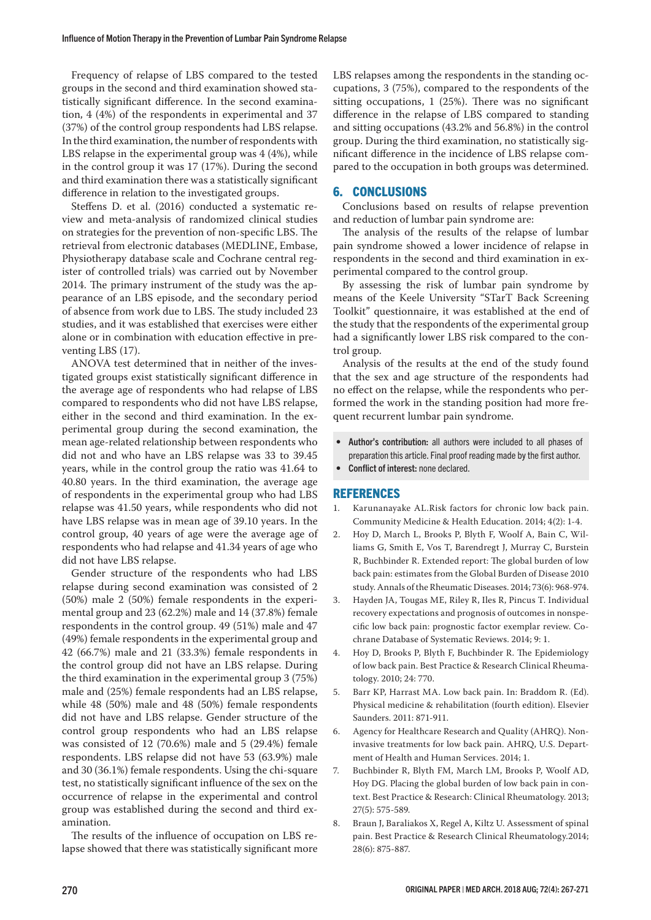Frequency of relapse of LBS compared to the tested groups in the second and third examination showed statistically significant difference. In the second examination, 4 (4%) of the respondents in experimental and 37 (37%) of the control group respondents had LBS relapse. In the third examination, the number of respondents with LBS relapse in the experimental group was 4 (4%), while in the control group it was 17 (17%). During the second and third examination there was a statistically significant difference in relation to the investigated groups.

Steffens D. et al. (2016) conducted a systematic review and meta-analysis of randomized clinical studies on strategies for the prevention of non-specific LBS. The retrieval from electronic databases (MEDLINE, Embase, Physiotherapy database scale and Cochrane central register of controlled trials) was carried out by November 2014. The primary instrument of the study was the appearance of an LBS episode, and the secondary period of absence from work due to LBS. The study included 23 studies, and it was established that exercises were either alone or in combination with education effective in preventing LBS (17).

ANOVA test determined that in neither of the investigated groups exist statistically significant difference in the average age of respondents who had relapse of LBS compared to respondents who did not have LBS relapse, either in the second and third examination. In the experimental group during the second examination, the mean age-related relationship between respondents who did not and who have an LBS relapse was 33 to 39.45 years, while in the control group the ratio was 41.64 to 40.80 years. In the third examination, the average age of respondents in the experimental group who had LBS relapse was 41.50 years, while respondents who did not have LBS relapse was in mean age of 39.10 years. In the control group, 40 years of age were the average age of respondents who had relapse and 41.34 years of age who did not have LBS relapse.

Gender structure of the respondents who had LBS relapse during second examination was consisted of 2 (50%) male 2 (50%) female respondents in the experimental group and 23 (62.2%) male and 14 (37.8%) female respondents in the control group. 49 (51%) male and 47 (49%) female respondents in the experimental group and 42 (66.7%) male and 21 (33.3%) female respondents in the control group did not have an LBS relapse. During the third examination in the experimental group 3 (75%) male and (25%) female respondents had an LBS relapse, while 48 (50%) male and 48 (50%) female respondents did not have and LBS relapse. Gender structure of the control group respondents who had an LBS relapse was consisted of 12 (70.6%) male and 5 (29.4%) female respondents. LBS relapse did not have 53 (63.9%) male and 30 (36.1%) female respondents. Using the chi-square test, no statistically significant influence of the sex on the occurrence of relapse in the experimental and control group was established during the second and third examination.

The results of the influence of occupation on LBS relapse showed that there was statistically significant more LBS relapses among the respondents in the standing occupations, 3 (75%), compared to the respondents of the sitting occupations, 1 (25%). There was no significant difference in the relapse of LBS compared to standing and sitting occupations (43.2% and 56.8%) in the control group. During the third examination, no statistically significant difference in the incidence of LBS relapse compared to the occupation in both groups was determined.

# 6. CONCLUSIONS

Conclusions based on results of relapse prevention and reduction of lumbar pain syndrome are:

The analysis of the results of the relapse of lumbar pain syndrome showed a lower incidence of relapse in respondents in the second and third examination in experimental compared to the control group.

By assessing the risk of lumbar pain syndrome by means of the Keele University "STarT Back Screening Toolkit" questionnaire, it was established at the end of the study that the respondents of the experimental group had a significantly lower LBS risk compared to the control group.

Analysis of the results at the end of the study found that the sex and age structure of the respondents had no effect on the relapse, while the respondents who performed the work in the standing position had more frequent recurrent lumbar pain syndrome.

- Author's contribution: all authors were included to all phases of preparation this article. Final proof reading made by the first author.
- Conflict of interest: none declared.

## REFERENCES

- 1. Karunanayake AL.Risk factors for chronic low back pain. Community Medicine & Health Education. 2014; 4(2): 1-4.
- 2. Hoy D, March L, Brooks P, Blyth F, Woolf A, Bain C, Williams G, Smith E, Vos T, Barendregt J, Murray C, Burstein R, Buchbinder R. Extended report: The global burden of low back pain: estimates from the Global Burden of Disease 2010 study. Annals of the Rheumatic Diseases. 2014; 73(6): 968-974.
- 3. Hayden JA, Tougas ME, Riley R, Iles R, Pincus T. Individual recovery expectations and prognosis of outcomes in nonspecific low back pain: prognostic factor exemplar review. Cochrane Database of Systematic Reviews. 2014; 9: 1.
- 4. Hoy D, Brooks P, Blyth F, Buchbinder R. The Epidemiology of low back pain. Best Practice & Research Clinical Rheumatology. 2010; 24: 770.
- 5. Barr KP, Harrast MA. Low back pain. In: Braddom R. (Ed). Physical medicine & rehabilitation (fourth edition). Elsevier Saunders. 2011: 871-911.
- 6. Agency for Healthcare Research and Quality (AHRQ). Noninvasive treatments for low back pain. AHRQ, U.S. Department of Health and Human Services. 2014; 1.
- 7. Buchbinder R, Blyth FM, March LM, Brooks P, Woolf AD, Hoy DG. Placing the global burden of low back pain in context. Best Practice & Research: Clinical Rheumatology. 2013; 27(5): 575-589.
- 8. Braun J, Baraliakos X, Regel A, Kiltz U. Assessment of spinal pain. Best Practice & Research Clinical Rheumatology.2014; 28(6): 875-887.